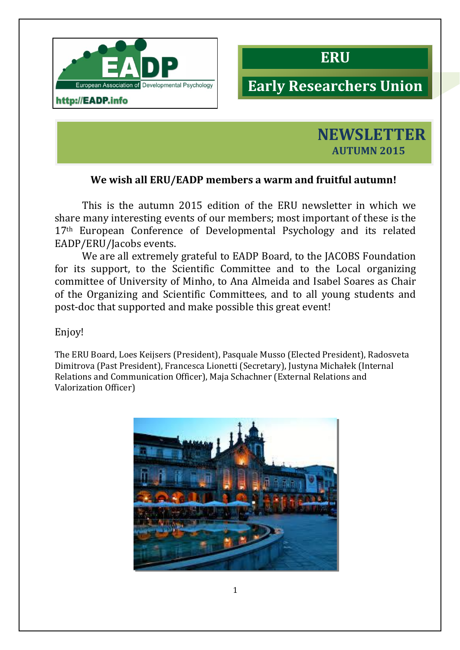

http://EADP.info



# **Early#Researchers#Union**



# **We wish all ERU/EADP members a warm and fruitful autumn!**

This is the autumn 2015 edition of the ERU newsletter in which we share many interesting events of our members; most important of these is the 17<sup>th</sup> European Conference of Developmental Psychology and its related EADP/ERU/Jacobs events."

We are all extremely grateful to EADP Board, to the JACOBS Foundation for its support, to the Scientific Committee and to the Local organizing committee of University of Minho, to Ana Almeida and Isabel Soares as Chair of the Organizing and Scientific Committees, and to all voung students and post-doc that supported and make possible this great event!

Enjoy!

The ERU Board, Loes Keijsers (President), Pasquale Musso (Elected President), Radosveta Dimitrova (Past President), Francesca Lionetti (Secretary), Justyna Michałek (Internal Relations and Communication Officer), Maja Schachner (External Relations and Valorization Officer)

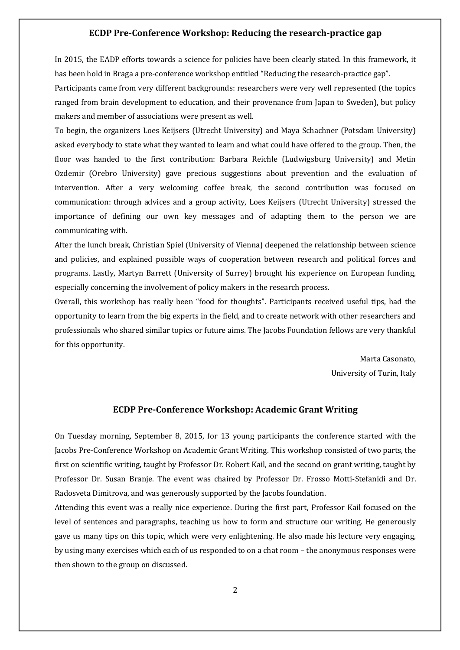#### **ECDP Pre-Conference Workshop: Reducing the research-practice gap**

In 2015, the EADP efforts towards a science for policies have been clearly stated. In this framework, it has been hold in Braga a pre-conference workshop entitled "Reducing the research-practice gap".

Participants came from very different backgrounds: researchers were very well represented (the topics") ranged from brain development to education, and their provenance from Japan to Sweden), but policy makers and member of associations were present as well.

To begin, the organizers Loes Keijsers (Utrecht University) and Maya Schachner (Potsdam University) asked everybody to state what they wanted to learn and what could have offered to the group. Then, the floor was handed to the first contribution: Barbara Reichle (Ludwigsburg University) and Metin Ozdemir (Orebro University) gave precious suggestions about prevention and the evaluation of intervention. After a very welcoming coffee break, the second contribution was focused on communication: through advices and a group activity, Loes Keijsers (Utrecht University) stressed the importance of defining our own key messages and of adapting them to the person we are communicating with.

After the lunch break, Christian Spiel (University of Vienna) deepened the relationship between science and policies, and explained possible ways of cooperation between research and political forces and programs. Lastly, Martyn Barrett (University of Surrey) brought his experience on European funding, especially concerning the involvement of policy makers in the research process.

Overall, this workshop has really been "food for thoughts". Participants received useful tips, had the opportunity to learn from the big experts in the field, and to create network with other researchers and professionals who shared similar topics or future aims. The Jacobs Foundation fellows are very thankful for this opportunity.

> Marta Casonato, University of Turin, Italy

# **ECDP Pre-Conference Workshop: Academic Grant Writing**

On Tuesday morning, September 8, 2015, for 13 young participants the conference started with the Jacobs Pre-Conference Workshop on Academic Grant Writing. This workshop consisted of two parts, the first on scientific writing, taught by Professor Dr. Robert Kail, and the second on grant writing, taught by Professor Dr. Susan Branje. The event was chaired by Professor Dr. Frosso Motti-Stefanidi and Dr." Radosveta Dimitrova, and was generously supported by the Jacobs foundation.

Attending this event was a really nice experience. During the first part, Professor Kail focused on the level of sentences and paragraphs, teaching us how to form and structure our writing. He generously gave us many tips on this topic, which were very enlightening. He also made his lecture very engaging, by using many exercises which each of us responded to on a chat room – the anonymous responses were then shown to the group on discussed.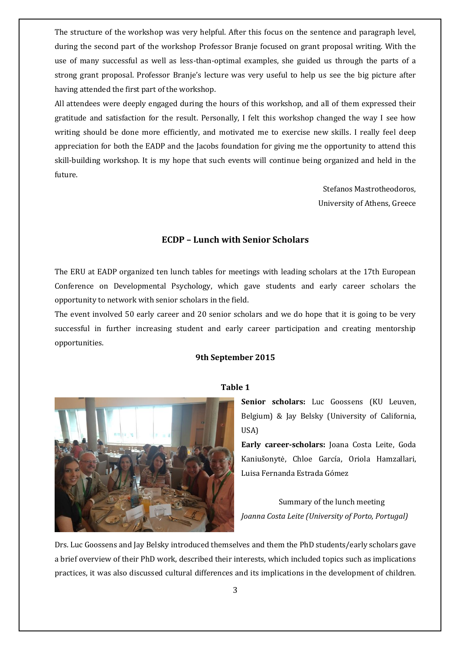The structure of the workshop was very helpful. After this focus on the sentence and paragraph level, during the second part of the workshop Professor Branje focused on grant proposal writing. With the use of many successful as well as less-than-optimal examples, she guided us through the parts of a strong grant proposal. Professor Branje's lecture was very useful to help us see the big picture after having attended the first part of the workshop.

All attendees were deeply engaged during the hours of this workshop, and all of them expressed their gratitude and satisfaction for the result. Personally, I felt this workshop changed the way I see how writing should be done more efficiently, and motivated me to exercise new skills. I really feel deep appreciation for both the EADP and the Jacobs foundation for giving me the opportunity to attend this skill-building workshop. It is my hope that such events will continue being organized and held in the future.

> Stefanos Mastrotheodoros, University of Athens, Greece

#### **ECDP - Lunch with Senior Scholars**

The ERU at EADP organized ten lunch tables for meetings with leading scholars at the 17th European Conference on Developmental Psychology, which gave students and early career scholars the opportunity to network with senior scholars in the field.

The event involved 50 early career and 20 senior scholars and we do hope that it is going to be very successful in further increasing student and early career participation and creating mentorship opportunities.

#### **9th September 2015**



#### **Table 1**

Senior scholars: Luc Goossens (KU Leuven, Belgium) & Jay Belsky (University of California, USA)

**Early career-scholars:** Joana Costa Leite, Goda Kaniušonytė, Chloe García, Oriola Hamzallari, Luisa Fernanda Estrada Gómez

Summary of the lunch meeting *Joanna Costa Leite (University of Porto, Portugal)* 

Drs. Luc Goossens and Jay Belsky introduced themselves and them the PhD students/early scholars gave a brief overview of their PhD work, described their interests, which included topics such as implications practices, it was also discussed cultural differences and its implications in the development of children.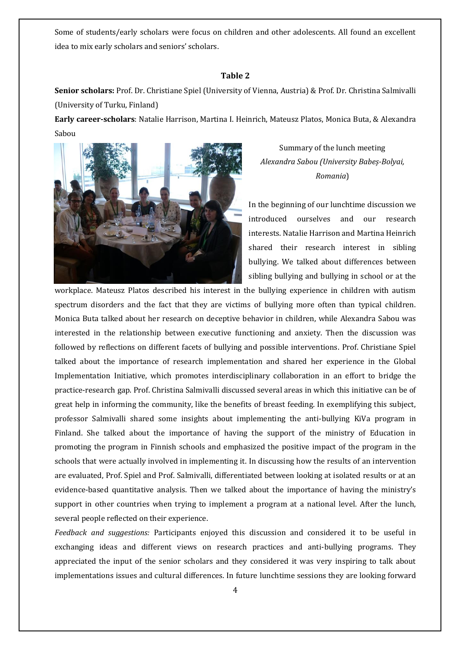Some of students/early scholars were focus on children and other adolescents. All found an excellent idea to mix early scholars and seniors' scholars.

#### Table 2

**Senior scholars:** Prof. Dr. Christiane Spiel (University of Vienna, Austria) & Prof. Dr. Christina Salmivalli (University of Turku, Finland)

Early career-scholars: Natalie Harrison, Martina I. Heinrich, Mateusz Platos, Monica Buta, & Alexandra Sabou"



Summary of the lunch meeting Alexandra Sabou (University Babeș-Bolyai, *Romania*)

In the beginning of our lunchtime discussion we introduced ourselves and our research interests. Natalie Harrison and Martina Heinrich shared their research interest in sibling bullying. We talked about differences between sibling bullying and bullying in school or at the

workplace. Mateusz Platos described his interest in the bullying experience in children with autism spectrum disorders and the fact that they are victims of bullying more often than typical children. Monica Buta talked about her research on deceptive behavior in children, while Alexandra Sabou was interested in the relationship between executive functioning and anxiety. Then the discussion was followed by reflections on different facets of bullying and possible interventions. Prof. Christiane Spiel talked about the importance of research implementation and shared her experience in the Global Implementation Initiative, which promotes interdisciplinary collaboration in an effort to bridge the practice-research gap. Prof. Christina Salmivalli discussed several areas in which this initiative can be of great help in informing the community, like the benefits of breast feeding. In exemplifying this subject, professor Salmivalli shared some insights about implementing the anti-bullying KiVa program in Finland. She talked about the importance of having the support of the ministry of Education in promoting the program in Finnish schools and emphasized the positive impact of the program in the schools that were actually involved in implementing it. In discussing how the results of an intervention are evaluated, Prof. Spiel and Prof. Salmivalli, differentiated between looking at isolated results or at an evidence-based quantitative analysis. Then we talked about the importance of having the ministry's support in other countries when trying to implement a program at a national level. After the lunch, several people reflected on their experience.

*Feedback and suggestions:* Participants enjoyed this discussion and considered it to be useful in exchanging ideas and different views on research practices and anti-bullying programs. They appreciated the input of the senior scholars and they considered it was very inspiring to talk about implementations issues and cultural differences. In future lunchtime sessions they are looking forward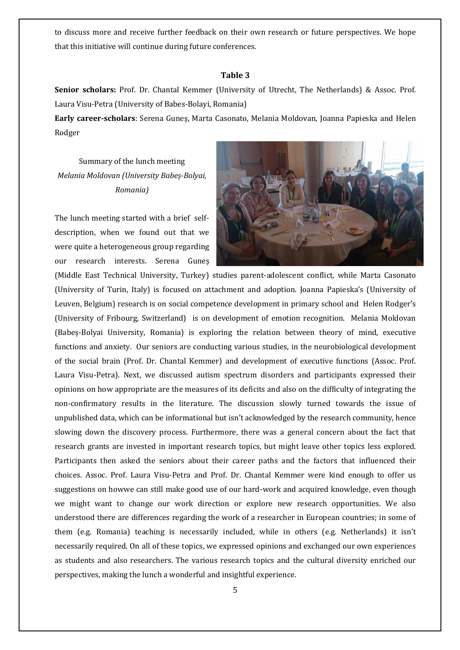to discuss more and receive further feedback on their own research or future perspectives. We hope that this initiative will continue during future conferences.

#### **Table 3**

**Senior scholars:** Prof. Dr. Chantal Kemmer (University of Utrecht, The Netherlands) & Assoc. Prof. Laura Visu-Petra (University of Babes-Bolayi, Romania)

Early career-scholars: Serena Guneș, Marta Casonato, Melania Moldovan, Joanna Papieska and Helen Rodger

Summary of the lunch meeting *Melania%Moldovan%ȋè8Bolyai,% Romania)*

The lunch meeting started with a brief selfdescription, when we found out that we were quite a heterogeneous group regarding our research interests. Serena Gunes



(Middle East Technical University, Turkey) studies parent-adolescent conflict, while Marta Casonato (University of Turin, Italy) is focused on attachment and adoption. Joanna Papieska's (University of Leuven, Belgium) research is on social competence development in primary school and Helen Rodger's (University of Fribourg, Switzerland) is on development of emotion recognition. Melania Moldovan (Babes-Bolyai University, Romania) is exploring the relation between theory of mind, executive functions and anxiety. Our seniors are conducting various studies, in the neurobiological development of the social brain (Prof. Dr. Chantal Kemmer) and development of executive functions (Assoc. Prof." Laura Visu-Petra). Next, we discussed autism spectrum disorders and participants expressed their opinions on how appropriate are the measures of its deficits and also on the difficulty of integrating the non-confirmatory results in the literature. The discussion slowly turned towards the issue of unpublished data, which can be informational but isn't acknowledged by the research community, hence slowing down the discovery process. Furthermore, there was a general concern about the fact that research grants are invested in important research topics, but might leave other topics less explored. Participants then asked the seniors about their career paths and the factors that influenced their choices. Assoc. Prof. Laura Visu-Petra and Prof. Dr. Chantal Kemmer were kind enough to offer us suggestions on howwe can still make good use of our hard-work and acquired knowledge, even though we might want to change our work direction or explore new research opportunities. We also understood there are differences regarding the work of a researcher in European countries; in some of them (e.g. Romania) teaching is necessarily included, while in others (e.g. Netherlands) it isn't necessarily required. On all of these topics, we expressed opinions and exchanged our own experiences as students and also researchers. The various research topics and the cultural diversity enriched our perspectives, making the lunch a wonderful and insightful experience.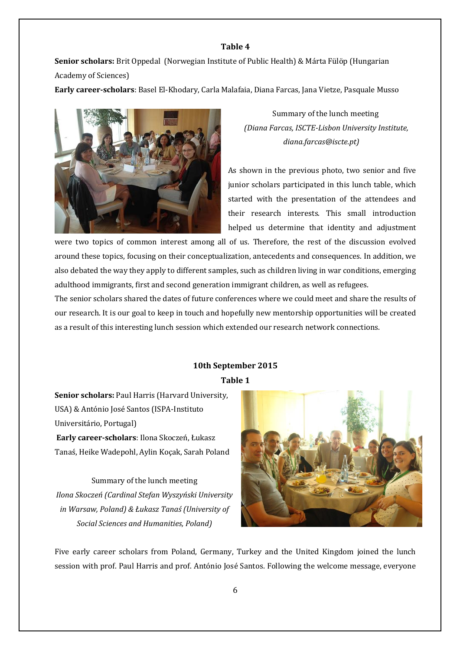## **Table 4**

**Senior scholars:** Brit Oppedal (Norwegian Institute of Public Health) & Márta Fülöp (Hungarian Academy of Sciences)

Early career-scholars: Basel El-Khodary, Carla Malafaia, Diana Farcas, Jana Vietze, Pasquale Musso



Summary of the lunch meeting *%%%%%%%%%(Diana%Farcas,%ISCTE8Lisbon%University%Institute,% %%%%%%%%%%%%%%%%%%%%%%%%%%%%%%%diana.farcas@iscte.pt)*

As shown in the previous photo, two senior and five junior scholars participated in this lunch table, which started with the presentation of the attendees and their research interests. This small introduction helped us determine that identity and adjustment

were two topics of common interest among all of us. Therefore, the rest of the discussion evolved around these topics, focusing on their conceptualization, antecedents and consequences. In addition, we also debated the way they apply to different samples, such as children living in war conditions, emerging adulthood immigrants, first and second generation immigrant children, as well as refugees.

The senior scholars shared the dates of future conferences where we could meet and share the results of our research. It is our goal to keep in touch and hopefully new mentorship opportunities will be created as a result of this interesting lunch session which extended our research network connections.

# 10th September 2015 **Table 1**

**Senior scholars: Paul Harris (Harvard University, )** USA) & António José Santos (ISPA-Instituto Universitário, Portugal) Early career-scholars: Ilona Skoczeń, Łukasz Tanaś, Heike Wadepohl, Aylin Kocak, Sarah Poland

Summary of the lunch meeting Ilona Skoczeń (Cardinal Stefan Wyszyński University *in Warsaw, Poland) & Łukasz Tanaś (University of Social%Sciences%and%Humanities,%Poland)*



Five early career scholars from Poland, Germany, Turkey and the United Kingdom joined the lunch session with prof. Paul Harris and prof. António José Santos. Following the welcome message, everyone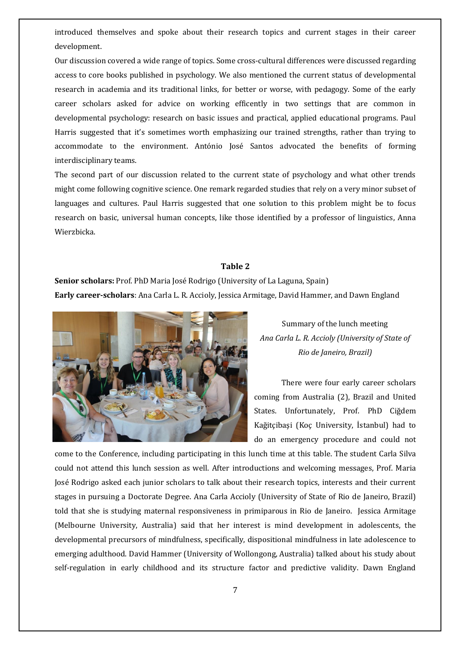introduced themselves and spoke about their research topics and current stages in their career development.

Our discussion covered a wide range of topics. Some cross-cultural differences were discussed regarding access to core books published in psychology. We also mentioned the current status of developmental research in academia and its traditional links, for better or worse, with pedagogy. Some of the early career scholars asked for advice on working efficently in two settings that are common in developmental psychology: research on basic issues and practical, applied educational programs. Paul Harris suggested that it's sometimes worth emphasizing our trained strengths, rather than trying to accommodate to the environment. António José Santos advocated the benefits of forming interdisciplinary teams.

The second part of our discussion related to the current state of psychology and what other trends" might come following cognitive science. One remark regarded studies that rely on a very minor subset of languages and cultures. Paul Harris suggested that one solution to this problem might be to focus research on basic, universal human concepts, like those identified by a professor of linguistics, Anna Wierzbicka.

#### Table 2

**Senior scholars:** Prof. PhD Maria José Rodrigo (University of La Laguna, Spain) **Early career-scholars**: Ana Carla L. R. Accioly, Jessica Armitage, David Hammer, and Dawn England



Summary of the lunch meeting *Ana%Carla%L.%R.%Accioly%(University%of%State%of% Rio%de%Janeiro,%Brazil)*

There were four early career scholars coming from Australia (2), Brazil and United States. Unfortunately, Prof. PhD Ciğdem Kağitçibaşi (Koç University, İstanbul) had to do an emergency procedure and could not

come to the Conference, including participating in this lunch time at this table. The student Carla Silva could not attend this lunch session as well. After introductions and welcoming messages, Prof. Maria José Rodrigo asked each junior scholars to talk about their research topics, interests and their current stages in pursuing a Doctorate Degree. Ana Carla Accioly (University of State of Rio de Janeiro, Brazil) told that she is studying maternal responsiveness in primiparous in Rio de Janeiro. Jessica Armitage (Melbourne University, Australia) said that her interest is mind development in adolescents, the developmental precursors of mindfulness, specifically, dispositional mindfulness in late adolescence to emerging adulthood. David Hammer (University of Wollongong, Australia) talked about his study about self-regulation in early childhood and its structure factor and predictive validity. Dawn England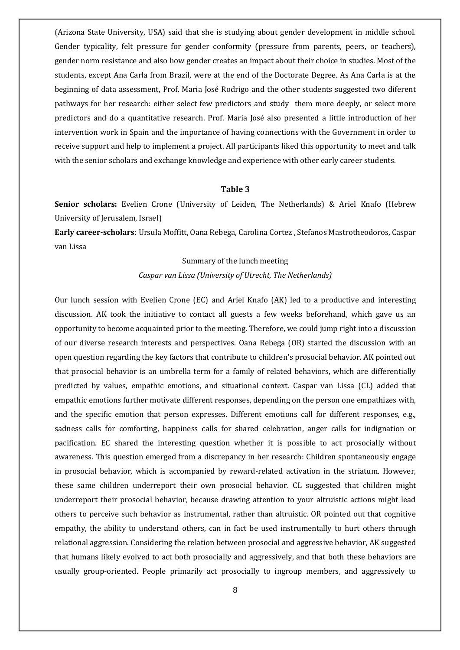(Arizona State University, USA) said that she is studying about gender development in middle school. Gender typicality, felt pressure for gender conformity (pressure from parents, peers, or teachers), gender norm resistance and also how gender creates an impact about their choice in studies. Most of the students, except Ana Carla from Brazil, were at the end of the Doctorate Degree. As Ana Carla is at the beginning of data assessment, Prof. Maria José Rodrigo and the other students suggested two diferent pathways for her research: either select few predictors and study them more deeply, or select more predictors and do a quantitative research. Prof. Maria José also presented a little introduction of her intervention work in Spain and the importance of having connections with the Government in order to receive support and help to implement a project. All participants liked this opportunity to meet and talk with the senior scholars and exchange knowledge and experience with other early career students.

#### **Table 3**

**Senior scholars:** Evelien Crone (University of Leiden, The Netherlands) & Ariel Knafo (Hebrew University of Jerusalem, Israel)

**Early career-scholars**: Ursula Moffitt, Oana Rebega, Carolina Cortez , Stefanos Mastrotheodoros, Caspar van Lissa

#### Summary of the lunch meeting

*Caspar%van%Lissa%(University%of%Utrecht,%The%Netherlands)*

Our lunch session with Evelien Crone (EC) and Ariel Knafo (AK) led to a productive and interesting discussion. AK took the initiative to contact all guests a few weeks beforehand, which gave us an opportunity to become acquainted prior to the meeting. Therefore, we could jump right into a discussion of our diverse research interests and perspectives. Oana Rebega (OR) started the discussion with an open question regarding the key factors that contribute to children's prosocial behavior. AK pointed out that prosocial behavior is an umbrella term for a family of related behaviors, which are differentially predicted by values, empathic emotions, and situational context. Caspar van Lissa (CL) added that empathic emotions further motivate different responses, depending on the person one empathizes with, and the specific emotion that person expresses. Different emotions call for different responses, e.g., sadness calls for comforting, happiness calls for shared celebration, anger calls for indignation or pacification. EC shared the interesting question whether it is possible to act prosocially without awareness. This question emerged from a discrepancy in her research: Children spontaneously engage in prosocial behavior, which is accompanied by reward-related activation in the striatum. However, these same children underreport their own prosocial behavior. CL suggested that children might underreport their prosocial behavior, because drawing attention to your altruistic actions might lead others to perceive such behavior as instrumental, rather than altruistic. OR pointed out that cognitive empathy, the ability to understand others, can in fact be used instrumentally to hurt others through relational aggression. Considering the relation between prosocial and aggressive behavior, AK suggested that humans likely evolved to act both prosocially and aggressively, and that both these behaviors are usually group-oriented. People primarily act prosocially to ingroup members, and aggressively to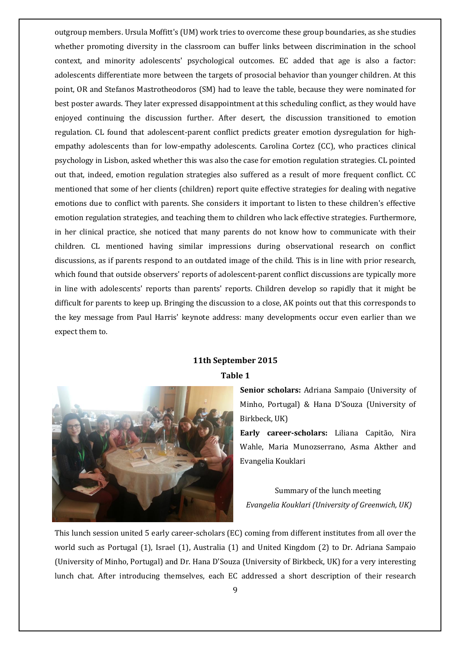outgroup members. Ursula Moffitt's (UM) work tries to overcome these group boundaries, as she studies whether promoting diversity in the classroom can buffer links between discrimination in the school context, and minority adolescents' psychological outcomes. EC added that age is also a factor: adolescents differentiate more between the targets of prosocial behavior than younger children. At this point, OR and Stefanos Mastrotheodoros (SM) had to leave the table, because they were nominated for best poster awards. They later expressed disappointment at this scheduling conflict, as they would have enjoyed continuing the discussion further. After desert, the discussion transitioned to emotion regulation. CL found that adolescent-parent conflict predicts greater emotion dysregulation for highempathy adolescents than for low-empathy adolescents. Carolina Cortez (CC), who practices clinical psychology in Lisbon, asked whether this was also the case for emotion regulation strategies. CL pointed out that, indeed, emotion regulation strategies also suffered as a result of more frequent conflict. CC mentioned that some of her clients (children) report quite effective strategies for dealing with negative emotions due to conflict with parents. She considers it important to listen to these children's effective emotion regulation strategies, and teaching them to children who lack effective strategies. Furthermore, in her clinical practice, she noticed that many parents do not know how to communicate with their children. CL mentioned having similar impressions during observational research on conflict discussions, as if parents respond to an outdated image of the child. This is in line with prior research, which found that outside observers' reports of adolescent-parent conflict discussions are typically more in line with adolescents' reports than parents' reports. Children develop so rapidly that it might be" difficult for parents to keep up. Bringing the discussion to a close, AK points out that this corresponds to the key message from Paul Harris' keynote address: many developments occur even earlier than we expect them to.

#### **11th September 2015**

#### Table 1



Senior scholars: Adriana Sampaio (University of Minho, Portugal) & Hana D'Souza (University of Birkbeck, UK)

Early career-scholars: Liliana Capitão, Nira Wahle, Maria Munozserrano, Asma Akther and Evangelia Kouklari

Summary of the lunch meeting Evangelia Kouklari (University of Greenwich, UK)

This lunch session united 5 early career-scholars (EC) coming from different institutes from all over the world such as Portugal (1), Israel (1), Australia (1) and United Kingdom (2) to Dr. Adriana Sampaio (University of Minho, Portugal) and Dr. Hana D'Souza (University of Birkbeck, UK) for a very interesting lunch chat. After introducing themselves, each EC addressed a short description of their research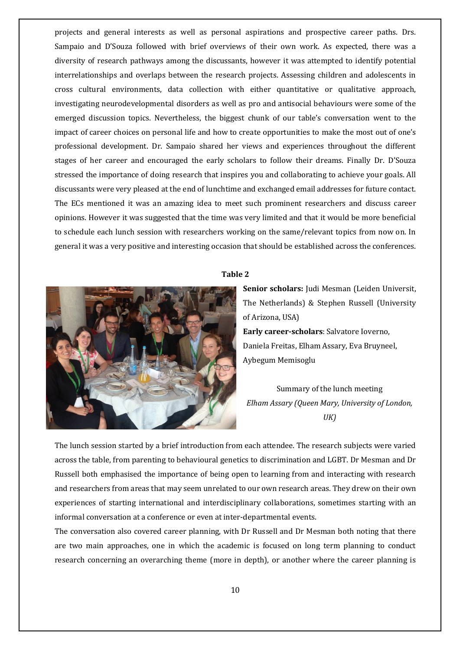projects and general interests as well as personal aspirations and prospective career paths. Drs. Sampaio and D'Souza followed with brief overviews of their own work. As expected, there was a diversity of research pathways among the discussants, however it was attempted to identify potential interrelationships and overlaps between the research projects. Assessing children and adolescents in cross" cultural" environments," data" collection" with" either" quantitative" or" qualitative" approach," investigating neurodevelopmental disorders as well as pro and antisocial behaviours were some of the emerged discussion topics. Nevertheless, the biggest chunk of our table's conversation went to the impact of career choices on personal life and how to create opportunities to make the most out of one's professional development. Dr. Sampaio shared her views and experiences throughout the different stages of her career and encouraged the early scholars to follow their dreams. Finally Dr. D'Souza stressed the importance of doing research that inspires you and collaborating to achieve your goals. All discussants were very pleased at the end of lunchtime and exchanged email addresses for future contact. The ECs mentioned it was an amazing idea to meet such prominent researchers and discuss career opinions. However it was suggested that the time was very limited and that it would be more beneficial to schedule each lunch session with researchers working on the same/relevant topics from now on. In general it was a very positive and interesting occasion that should be established across the conferences.



#### **Table#2**

Senior scholars: Judi Mesman (Leiden Universit, The Netherlands) & Stephen Russell (University of Arizona, USA) **Early career-scholars**: Salvatore Ioverno, Daniela Freitas, Elham Assary, Eva Bruyneel, Aybegum"Memisoglu

Summary of the lunch meeting *Elham%Assary%(Queen%Mary,%University%of%London,% UK)*

The lunch session started by a brief introduction from each attendee. The research subjects were varied across the table, from parenting to behavioural genetics to discrimination and LGBT. Dr Mesman and Dr Russell both emphasised the importance of being open to learning from and interacting with research and researchers from areas that may seem unrelated to our own research areas. They drew on their own experiences of starting international and interdisciplinary collaborations, sometimes starting with an informal conversation at a conference or even at inter-departmental events.

The conversation also covered career planning, with Dr Russell and Dr Mesman both noting that there are two main approaches, one in which the academic is focused on long term planning to conduct research concerning an overarching theme (more in depth), or another where the career planning is"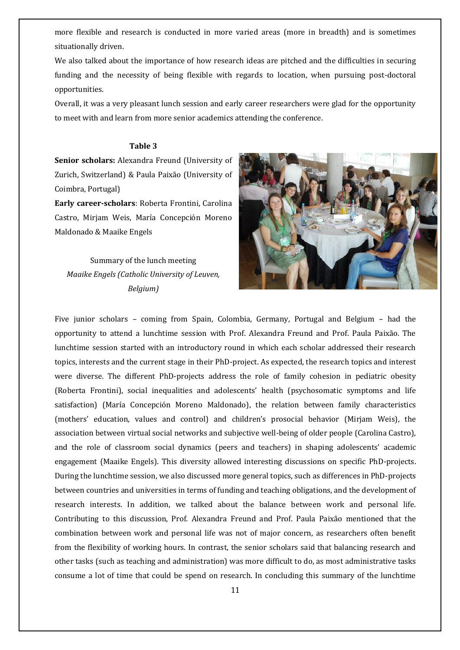more flexible and research is conducted in more varied areas (more in breadth) and is sometimes situationally driven.

We also talked about the importance of how research ideas are pitched and the difficulties in securing funding and the necessity of being flexible with regards to location, when pursuing post-doctoral opportunities.

Overall, it was a very pleasant lunch session and early career researchers were glad for the opportunity to meet with and learn from more senior academics attending the conference.

#### **Table 3**

**Senior scholars:** Alexandra Freund (University of Zurich, Switzerland) & Paula Paixão (University of Coimbra, Portugal)

**Early career-scholars**: Roberta Frontini, Carolina Castro, Mirjam Weis, María Concepción Moreno Maldonado & Maaike Engels

Summary of the lunch meeting *Maaike Engels (Catholic University of Leuven, Belgium)*



Five junior scholars – coming from Spain, Colombia, Germany, Portugal and Belgium – had the opportunity to attend a lunchtime session with Prof. Alexandra Freund and Prof. Paula Paixão. The lunchtime session started with an introductory round in which each scholar addressed their research topics, interests and the current stage in their PhD-project. As expected, the research topics and interest were diverse. The different PhD-projects address the role of family cohesion in pediatric obesity (Roberta Frontini), social inequalities and adolescents' health (psychosomatic symptoms and life satisfaction) (María Concepción Moreno Maldonado), the relation between family characteristics (mothers' education, values and control) and children's prosocial behavior (Mirjam Weis), the association between virtual social networks and subjective well-being of older people (Carolina Castro), and the role of classroom social dynamics (peers and teachers) in shaping adolescents' academic engagement (Maaike Engels). This diversity allowed interesting discussions on specific PhD-projects. During the lunchtime session, we also discussed more general topics, such as differences in PhD-projects between countries and universities in terms of funding and teaching obligations, and the development of research interests. In addition, we talked about the balance between work and personal life. Contributing to this discussion, Prof. Alexandra Freund and Prof. Paula Paixão mentioned that the combination between work and personal life was not of major concern, as researchers often benefit from the flexibility of working hours. In contrast, the senior scholars said that balancing research and other tasks (such as teaching and administration) was more difficult to do, as most administrative tasks consume a lot of time that could be spend on research. In concluding this summary of the lunchtime"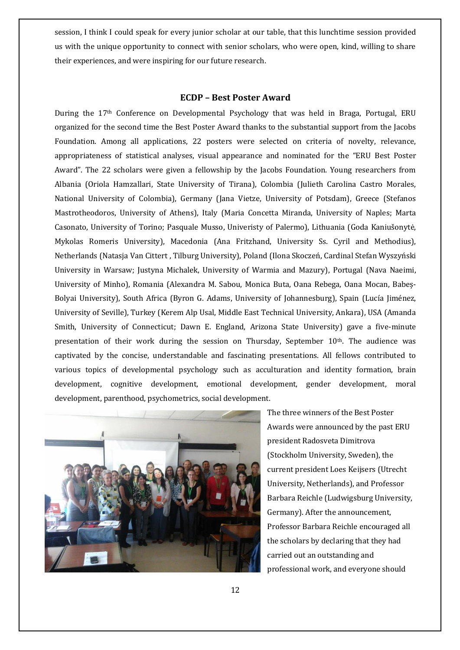session, I think I could speak for every junior scholar at our table, that this lunchtime session provided us with the unique opportunity to connect with senior scholars, who were open, kind, willing to share their experiences, and were inspiring for our future research.

#### **ECDP - Best Poster Award**

During the 17<sup>th</sup> Conference on Developmental Psychology that was held in Braga, Portugal, ERU organized for the second time the Best Poster Award thanks to the substantial support from the Jacobs" Foundation. Among all applications, 22 posters were selected on criteria of novelty, relevance, appropriateness of statistical analyses, visual appearance and nominated for the "ERU Best Poster" Award". The 22 scholars were given a fellowship by the Jacobs Foundation. Young researchers from Albania (Oriola Hamzallari, State University of Tirana), Colombia (Julieth Carolina Castro Morales, National University of Colombia), Germany (Jana Vietze, University of Potsdam), Greece (Stefanos Mastrotheodoros, University of Athens), Italy (Maria Concetta Miranda, University of Naples; Marta Casonato, University of Torino; Pasquale Musso, Univeristy of Palermo), Lithuania (Goda Kaniušonytė, Mykolas Romeris University), Macedonia (Ana Fritzhand, University Ss. Cyril and Methodius), Netherlands (Natasja Van Cittert, Tilburg University), Poland (Ilona Skoczeń, Cardinal Stefan Wyszyński University in Warsaw; Justyna Michalek, University of Warmia and Mazury), Portugal (Nava Naeimi, University of Minho), Romania (Alexandra M. Sabou, Monica Buta, Oana Rebega, Oana Mocan, Babes-Bolyai University), South Africa (Byron G. Adams, University of Johannesburg), Spain (Lucía Jiménez, University of Seville), Turkey (Kerem Alp Usal, Middle East Technical University, Ankara), USA (Amanda Smith, University of Connecticut; Dawn E. England, Arizona State University) gave a five-minute presentation of their work during the session on Thursday, September 10<sup>th</sup>. The audience was captivated by the concise, understandable and fascinating presentations. All fellows contributed to various topics of developmental psychology such as acculturation and identity formation, brain development, cognitive development, emotional development, gender development, moral development, parenthood, psychometrics, social development.



The three winners of the Best Poster Awards were announced by the past ERU president Radosveta Dimitrova (Stockholm University, Sweden), the current president Loes Keijsers (Utrecht University, Netherlands), and Professor Barbara Reichle (Ludwigsburg University, Germany). After the announcement, Professor Barbara Reichle encouraged all the scholars by declaring that they had carried out an outstanding and professional work, and everyone should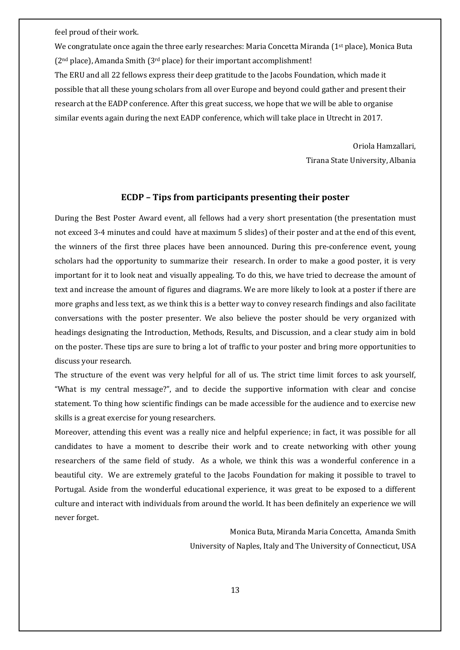feel proud of their work.

We congratulate once again the three early researches: Maria Concetta Miranda (1<sup>st</sup> place), Monica Buta  $(2<sup>nd</sup> place)$ , Amanda Smith  $(3<sup>rd</sup> place)$  for their important accomplishment! The ERU and all 22 fellows express their deep gratitude to the Jacobs Foundation, which made it" possible that all these young scholars from all over Europe and beyond could gather and present their research at the EADP conference. After this great success, we hope that we will be able to organise similar events again during the next EADP conference, which will take place in Utrecht in 2017.

> Oriola Hamzallari, Tirana State University, Albania

#### **ECDP** - Tips from participants presenting their poster

During the Best Poster Award event, all fellows had a very short presentation (the presentation must not exceed 3-4 minutes and could have at maximum 5 slides) of their poster and at the end of this event, the winners of the first three places have been announced. During this pre-conference event, young scholars had the opportunity to summarize their research. In order to make a good poster, it is very important for it to look neat and visually appealing. To do this, we have tried to decrease the amount of text and increase the amount of figures and diagrams. We are more likely to look at a poster if there are more graphs and less text, as we think this is a better way to convey research findings and also facilitate conversations with the poster presenter. We also believe the poster should be very organized with headings designating the Introduction, Methods, Results, and Discussion, and a clear study aim in bold on the poster. These tips are sure to bring a lot of traffic to your poster and bring more opportunities to discuss your research.

The structure of the event was very helpful for all of us. The strict time limit forces to ask yourself, "What is my central message?", and to decide the supportive information with clear and concise statement. To thing how scientific findings can be made accessible for the audience and to exercise new" skills is a great exercise for young researchers.

Moreover, attending this event was a really nice and helpful experience; in fact, it was possible for all candidates to have a moment to describe their work and to create networking with other young researchers of the same field of study. As a whole, we think this was a wonderful conference in a beautiful city. We are extremely grateful to the Jacobs Foundation for making it possible to travel to Portugal. Aside from the wonderful educational experience, it was great to be exposed to a different culture and interact with individuals from around the world. It has been definitely an experience we will never forget.

> Monica Buta, Miranda Maria Concetta, Amanda Smith University of Naples, Italy and The University of Connecticut, USA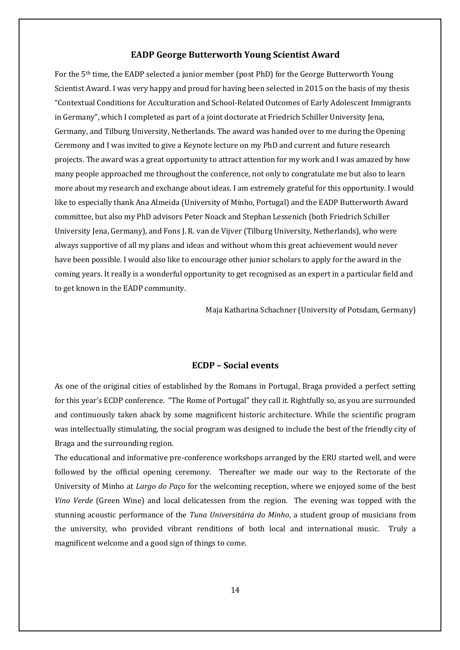### **EADP George Butterworth Young Scientist Award**

For the 5<sup>th</sup> time, the EADP selected a junior member (post PhD) for the George Butterworth Young Scientist Award. I was very happy and proud for having been selected in 2015 on the basis of my thesis "Contextual Conditions for Acculturation and School-Related Outcomes of Early Adolescent Immigrants in Germany", which I completed as part of a joint doctorate at Friedrich Schiller University Jena, Germany, and Tilburg University, Netherlands. The award was handed over to me during the Opening" Ceremony and I was invited to give a Keynote lecture on my PhD and current and future research projects. The award was a great opportunity to attract attention for my work and I was amazed by how many people approached me throughout the conference, not only to congratulate me but also to learn more about my research and exchange about ideas. I am extremely grateful for this opportunity. I would like to especially thank Ana Almeida (University of Minho, Portugal) and the EADP Butterworth Award committee, but also my PhD advisors Peter Noack and Stephan Lessenich (both Friedrich Schiller") University Jena, Germany), and Fons J. R. van de Vijver (Tilburg University, Netherlands), who were always supportive of all my plans and ideas and without whom this great achievement would never have been possible. I would also like to encourage other junior scholars to apply for the award in the coming years. It really is a wonderful opportunity to get recognised as an expert in a particular field and to get known in the EADP community.

Maja Katharina Schachner (University of Potsdam, Germany)

#### **ECDP** – Social events

As one of the original cities of established by the Romans in Portugal, Braga provided a perfect setting for this year's ECDP conference. "The Rome of Portugal" they call it. Rightfully so, as you are surrounded and continuously taken aback by some magnificent historic architecture. While the scientific program was intellectually stimulating, the social program was designed to include the best of the friendly city of Braga and the surrounding region.

The educational and informative pre-conference workshops arranged by the ERU started well, and were followed by the official opening ceremony. Thereafter we made our way to the Rectorate of the University of Minho at *Largo do Paço* for the welcoming reception, where we enjoyed some of the best" *Vino Verde* (Green Wine) and local delicatessen from the region. The evening was topped with the stunning acoustic performance of the *Tuna Universitária do Minho*, a student group of musicians from the university, who provided vibrant renditions of both local and international music. Truly a magnificent welcome and a good sign of things to come.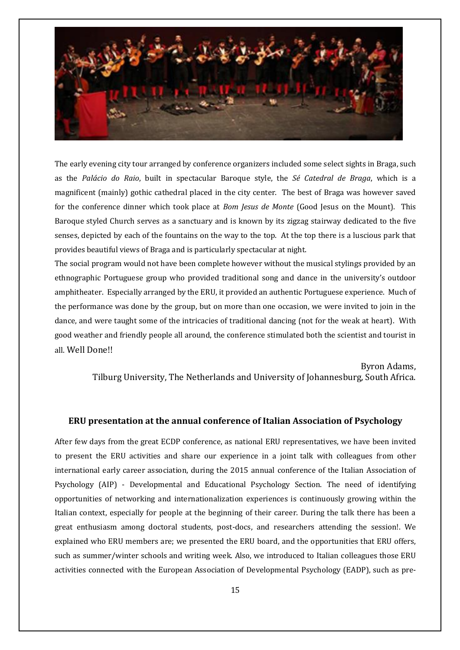

The early evening city tour arranged by conference organizers included some select sights in Braga, such as the Palácio do Raio, built in spectacular Baroque style, the Sé Catedral de Braga, which is a magnificent (mainly) gothic cathedral placed in the city center. The best of Braga was however saved for the conference dinner which took place at *Bom Jesus de Monte* (Good Jesus on the Mount). This Baroque styled Church serves as a sanctuary and is known by its zigzag stairway dedicated to the five senses, depicted by each of the fountains on the way to the top. At the top there is a luscious park that provides beautiful views of Braga and is particularly spectacular at night.

The social program would not have been complete however without the musical stylings provided by an ethnographic Portuguese group who provided traditional song and dance in the university's outdoor amphitheater. Especially arranged by the ERU, it provided an authentic Portuguese experience. Much of the performance was done by the group, but on more than one occasion, we were invited to join in the dance, and were taught some of the intricacies of traditional dancing (not for the weak at heart). With good weather and friendly people all around, the conference stimulated both the scientist and tourist in all. Well Done!!

Byron Adams,

Tilburg University, The Netherlands and University of Johannesburg, South Africa.

#### **ERU presentation at the annual conference of Italian Association of Psychology**

After few days from the great ECDP conference, as national ERU representatives, we have been invited to present the ERU activities and share our experience in a joint talk with colleagues from other international early career association, during the 2015 annual conference of the Italian Association of Psychology (AIP) - Developmental and Educational Psychology Section. The need of identifying opportunities of networking and internationalization experiences is continuously growing within the Italian context, especially for people at the beginning of their career. During the talk there has been a great enthusiasm among doctoral students, post-docs, and researchers attending the session!. We explained who ERU members are; we presented the ERU board, and the opportunities that ERU offers, such as summer/winter schools and writing week. Also, we introduced to Italian colleagues those ERU activities connected with the European Association of Developmental Psychology (EADP), such as pre-